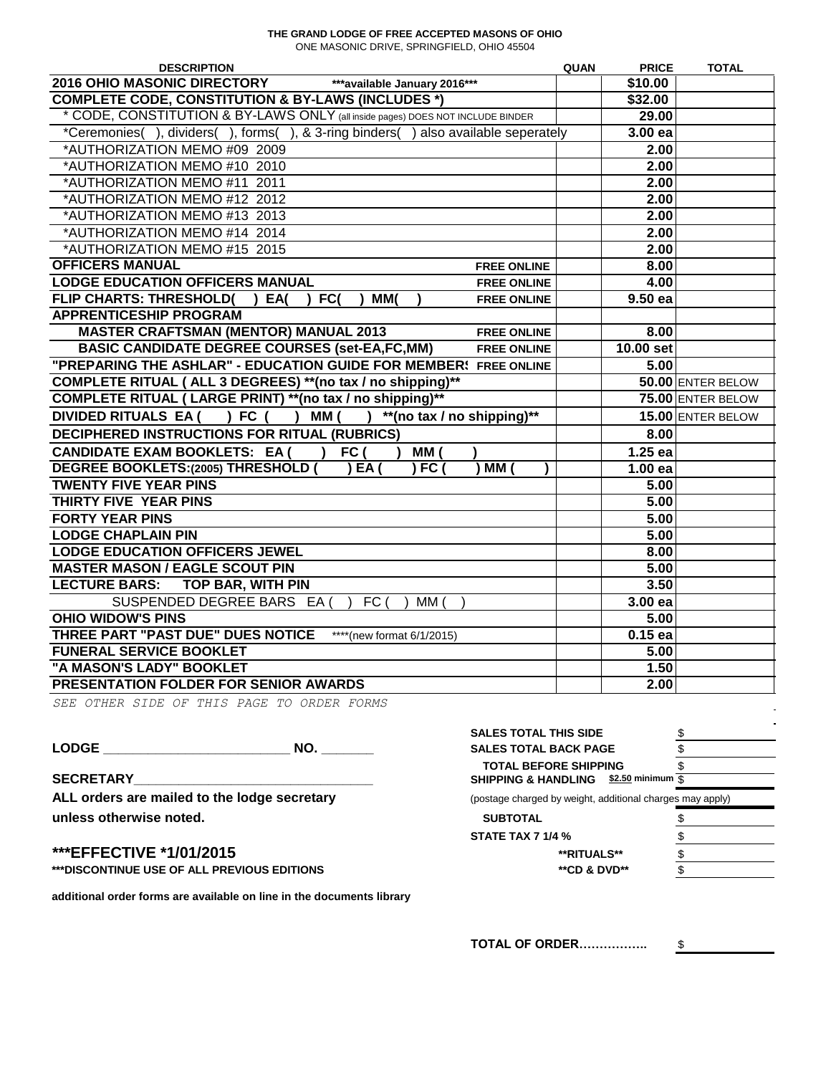## **THE GRAND LODGE OF FREE ACCEPTED MASONS OF OHIO** ONE MASONIC DRIVE, SPRINGFIELD, OHIO 45504

| <b>DESCRIPTION</b>                                                                    | QUAN | <b>PRICE</b> | <b>TOTAL</b>      |
|---------------------------------------------------------------------------------------|------|--------------|-------------------|
| <b>2016 OHIO MASONIC DIRECTORY</b><br>***available January 2016***                    |      | \$10.00      |                   |
| <b>COMPLETE CODE, CONSTITUTION &amp; BY-LAWS (INCLUDES *)</b>                         |      | \$32.00      |                   |
| * CODE, CONSTITUTION & BY-LAWS ONLY (all inside pages) DOES NOT INCLUDE BINDER        |      | 29.00        |                   |
| *Ceremonies(), dividers(), forms(), & 3-ring binders() also available seperately      |      | 3.00 ea      |                   |
| *AUTHORIZATION MEMO #09 2009                                                          |      | 2.00         |                   |
| *AUTHORIZATION MEMO #10 2010                                                          |      | 2.00         |                   |
| *AUTHORIZATION MEMO #11 2011                                                          |      | 2.00         |                   |
| *AUTHORIZATION MEMO #12 2012                                                          |      | 2.00         |                   |
| *AUTHORIZATION MEMO #13 2013                                                          |      | 2.00         |                   |
| *AUTHORIZATION MEMO #14 2014                                                          |      | 2.00         |                   |
| *AUTHORIZATION MEMO #15 2015                                                          |      | 2.00         |                   |
| <b>OFFICERS MANUAL</b><br><b>FREE ONLINE</b>                                          |      | 8.00         |                   |
| <b>LODGE EDUCATION OFFICERS MANUAL</b><br><b>FREE ONLINE</b>                          |      | 4.00         |                   |
| <b>FLIP CHARTS: THRESHOLD(</b><br>FC(<br>MM <sub>(</sub><br>EA(<br><b>FREE ONLINE</b> |      | 9.50 ea      |                   |
| <b>APPRENTICESHIP PROGRAM</b>                                                         |      |              |                   |
| <b>MASTER CRAFTSMAN (MENTOR) MANUAL 2013</b><br><b>FREE ONLINE</b>                    |      | 8.00         |                   |
| <b>BASIC CANDIDATE DEGREE COURSES (set-EA,FC,MM)</b><br><b>FREE ONLINE</b>            |      | 10.00 set    |                   |
| "PREPARING THE ASHLAR" - EDUCATION GUIDE FOR MEMBER! FREE ONLINE                      |      | 5.00         |                   |
| COMPLETE RITUAL ( ALL 3 DEGREES) ** (no tax / no shipping)**                          |      |              | 50.00 ENTER BELOW |
| COMPLETE RITUAL (LARGE PRINT) ** (no tax / no shipping)**                             |      |              | 75.00 ENTER BELOW |
| **(no tax / no shipping)**<br>MM (<br>DIVIDED RITUALS EA (<br>) FC (                  |      |              | 15.00 ENTER BELOW |
| DECIPHERED INSTRUCTIONS FOR RITUAL (RUBRICS)                                          |      | 8.00         |                   |
| <b>CANDIDATE EXAM BOOKLETS: EA (</b><br>FC (<br>MM                                    |      | $1.25$ ea    |                   |
| <b>DEGREE BOOKLETS:(2005) THRESHOLD (</b><br>EA<br>) FC (<br><b>MM</b>                |      | 1.00ea       |                   |
| <b>TWENTY FIVE YEAR PINS</b>                                                          |      | 5.00         |                   |
| THIRTY FIVE YEAR PINS                                                                 |      | 5.00         |                   |
| <b>FORTY YEAR PINS</b>                                                                |      | 5.00         |                   |
| <b>LODGE CHAPLAIN PIN</b>                                                             |      | 5.00         |                   |
| <b>LODGE EDUCATION OFFICERS JEWEL</b>                                                 |      | 8.00         |                   |
| <b>MASTER MASON / EAGLE SCOUT PIN</b>                                                 |      | 5.00         |                   |
| <b>LECTURE BARS:</b><br><b>TOP BAR, WITH PIN</b>                                      |      | 3.50         |                   |
| SUSPENDED DEGREE BARS EA (<br>FC(<br>MM(                                              |      | 3.00 ea      |                   |
| <b>OHIO WIDOW'S PINS</b>                                                              |      | 5.00         |                   |
| THREE PART "PAST DUE" DUES NOTICE<br>****(new format 6/1/2015)                        |      | $0.15$ ea    |                   |
| <b>FUNERAL SERVICE BOOKLET</b>                                                        |      | 5.00         |                   |
| "A MASON'S LADY" BOOKLET                                                              |      | 1.50         |                   |
| PRESENTATION FOLDER FOR SENIOR AWARDS                                                 |      | 2.00         |                   |

*SEE OTHER SIDE OF THIS PAGE TO ORDER FORMS*

 $\begin{array}{ccc} \texttt{LODGE} \end{array}$ 

**SECRETARY\_\_\_\_\_\_\_\_\_\_\_\_\_\_\_\_\_\_\_\_\_\_\_\_\_\_\_\_\_\_\_\_ SHIPPING & HANDLING \$2.50 minimum** \$

ALL orders are mailed to the lodge secretary  $unless otherwise noted.$ 

## **\*\*\*EFFECTIVE \*1/01/2015 \*\*RITUALS\*\*** \$

**\*\*\*DISCONTINUE USE OF ALL PREVIOUS EDITIONS the set of a set of a set of a set of a set of a set of a set of a set of a set of a set of a set of a set of a set of a set of a set of a set of a set of a set of a set of a** 

**additional order forms are available on line in the documents library**

| <b>SALES TOTAL THIS SIDE</b>                              |         |
|-----------------------------------------------------------|---------|
| <b>SALES TOTAL BACK PAGE</b>                              |         |
| <b>TOTAL BEFORE SHIPPING</b>                              |         |
| SHIPPING & HANDLING \$2.50 minimum \$                     |         |
| (postage charged by weight, additional charges may apply) |         |
| <b>SUBTOTAL</b>                                           |         |
| <b>STATE TAX 7 1/4 %</b>                                  |         |
| <b>**RITUALS**</b>                                        |         |
| $*$ $\mathsf{A}$ n $\mathsf{A}$ nun $\mathsf{A}$          | <b></b> |

**TOTAL OF ORDER……………..** \$